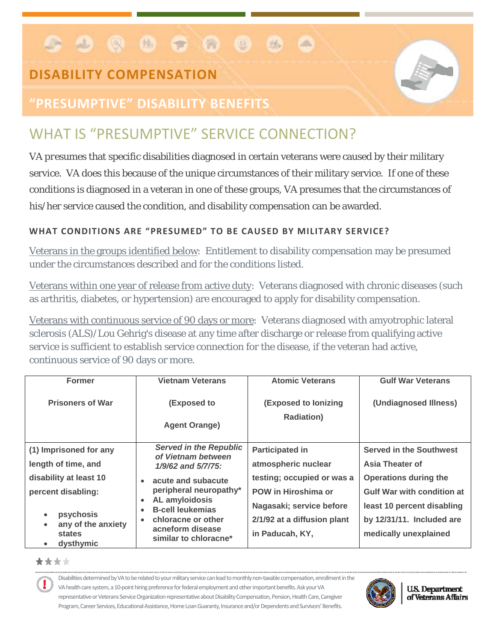# . . . . . . .

## **DISABILITY COMPENSATION**

### **"PRESUMPTIVE" DISABILITY BENEFITS**

# WHAT IS "PRESUMPTIVE" SERVICE CONNECTION?

VA *presumes* that specific disabilities diagnosed in certain veterans were caused by their military service. VA does this because of the unique circumstances of their military service. If one of these conditions is diagnosed in a veteran in one of these groups, VA presumes that the circumstances of his/her service caused the condition, and disability compensation can be awarded.

练。

 $\mathcal{A}$ 

### **WHAT CONDITIONS ARE "PRESUMED" TO BE CAUSED BY MILITARY SERVICE?**

Veterans in the groups identified below: Entitlement to disability compensation may be presumed under the circumstances described and for the conditions listed.

Veterans within one year of release from active duty: Veterans diagnosed with chronic diseases (such as arthritis, diabetes, or hypertension) are encouraged to apply for disability compensation.

Veterans with continuous service of 90 days or more: Veterans diagnosed with amyotrophic lateral sclerosis (ALS)/Lou Gehrig's disease at any time after discharge or release from qualifying active service is sufficient to establish service connection for the disease, if the veteran had active, continuous service of 90 days or more.

| <b>Former</b>                                             | <b>Vietnam Veterans</b>                                             | <b>Atomic Veterans</b>                    | <b>Gulf War Veterans</b>          |
|-----------------------------------------------------------|---------------------------------------------------------------------|-------------------------------------------|-----------------------------------|
| <b>Prisoners of War</b>                                   | (Exposed to                                                         | (Exposed to lonizing<br><b>Radiation)</b> | (Undiagnosed Illness)             |
|                                                           | <b>Agent Orange)</b>                                                |                                           |                                   |
| (1) Imprisoned for any                                    | <b>Served in the Republic</b><br>of Vietnam between                 | <b>Participated in</b>                    | <b>Served in the Southwest</b>    |
| length of time, and                                       | $1/9/62$ and $5/7/75$ :                                             | atmospheric nuclear                       | Asia Theater of                   |
| disability at least 10                                    | acute and subacute<br>$\bullet$                                     | testing; occupied or was a                | <b>Operations during the</b>      |
| percent disabling:                                        | peripheral neuropathy*                                              | POW in Hiroshima or                       | <b>Gulf War with condition at</b> |
|                                                           | AL amyloidosis<br>$\bullet$<br><b>B-cell leukemias</b><br>$\bullet$ | Nagasaki; service before                  | least 10 percent disabling        |
| psychosis<br>$\bullet$<br>any of the anxiety<br>$\bullet$ | chloracne or other<br>$\bullet$                                     | 2/1/92 at a diffusion plant               | by 12/31/11. Included are         |
| states<br>dysthymic<br>$\bullet$                          | acneform disease<br>similar to chloracne*                           | in Paducah, KY,                           | medically unexplained             |

#### \*\*\*\*

Disabilities determined by VA to be related to your military service can lead to monthly non-taxable compensation, enrollment in the VA health care system, a 10-point hiring preference for federal employment and other important benefits. Ask your VA representative or Veterans Service Organization representative about Disability Compensation, Pension, Health Care, Caregiver Program, Career Services, Educational Assistance, Home Loan Guaranty, Insurance and/or Dependents and Survivors' Benefits.



**U.S. Department** of Veterans Affairs